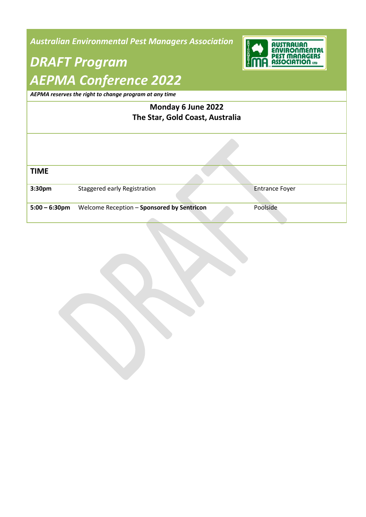*Australian Environmental Pest Managers Association*

## *DRAFT Program AEPMA Conference 2022*



*AEPMA reserves the right to change program at any time*

| Monday 6 June 2022<br>The Star, Gold Coast, Australia |                                            |                       |  |  |
|-------------------------------------------------------|--------------------------------------------|-----------------------|--|--|
|                                                       |                                            |                       |  |  |
| <b>TIME</b>                                           |                                            |                       |  |  |
| 3:30pm                                                | Staggered early Registration               | <b>Entrance Foyer</b> |  |  |
| $5:00 - 6:30$ pm                                      | Welcome Reception - Sponsored by Sentricon | Poolside              |  |  |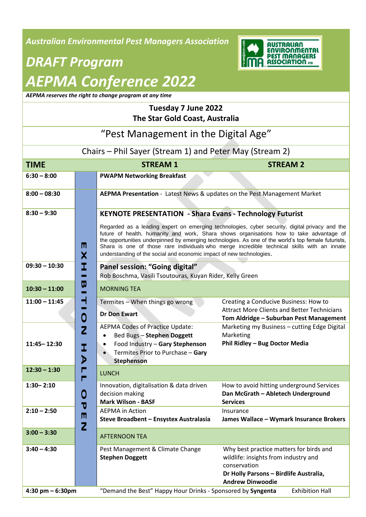*Australian Environmental Pest Managers Association*



# *DRAFT Program AEPMA Conference 2022*

*AEPMA reserves the right to change program at any time*

### **Tuesday 7 June 2022 The Star Gold Coast, Australia**

#### "Pest Management in the Digital Age" Chairs – Phil Sayer (Stream 1) and Peter May (Stream 2) **TIME STREAM 1 STREAM 2 6:30 – 8:00 PWAPM Networking Breakfast 8:00 – 08:30 AEPMA Presentation** - Latest News & updates on the Pest Management Market **8:30 – 9:30 KEYNOTE PRESENTATION - Shara Evans - Technology Futurist** Regarded as a leading expert on emerging technologies, cyber security, digital privacy and the future of health, humanity and work, Shara shows organisations how to take advantage of the opportunities underpinned by emerging technologies. As one of the world's top female futurists, M **E X H I B I T I O N** Shara is one of those rare individuals who merge incredible technical skills with an innate understanding of the social and economic impact of new technologies. X **09:30 – 10:30 Panel session: "Going digital"** Rob Boschma, Vasili Tsoutouras, Kuyan Rider, Kelly Green **10:30 – 11:00** MORNING TEA **11:00 – 11:45** Termites – When things go wrong Creating a Conducive Business: How to Attract More Clients and Better Technicians **Dr Don Ewart** 0 **Tom Aldridge – Suburban Pest Management** AEPMA Codes of Practice Update: Marketing my Business – cutting Edge Digital  $\overline{z}$  Bed Bugs – **Stephen Doggett** Marketing **Phil Ridley – Bug Doctor Media 11:45– 12:30** Food Industry – **Gary Stephenson H A L L** I Termites Prior to Purchase – **Gary**  D **Stephenson 12:30 - 1:30**  $\begin{array}{|c|c|c|c|}\n\hline\n\end{array}$  **LUNCH 1:30– 2:10** Innovation, digitalisation & data driven How to avoid hitting underground Services **O P E N** 0 decision making **Dan McGrath – Abletech Underground Mark Wilson - BASF Services 2:10 – 2:50 CEPMA** in Action Insurance **Steve Broadbent – Ensystex Australasia James Wallace – Wymark Insurance Brokers** 2 **3:00 – 3:30 Fig. 1** AFTERNOON TEA

**3:40 – 4:30** Pest Management & Climate Change **Stephen Doggett** Why best practice matters for birds and wildlife: insights from industry and conservation **Dr Holly Parsons – Birdlife Australia, Andrew Dinwoodie 4:30 pm – 6:30pm** "Demand the Best" Happy Hour Drinks - Sponsored by **Syngenta** Exhibition Hall